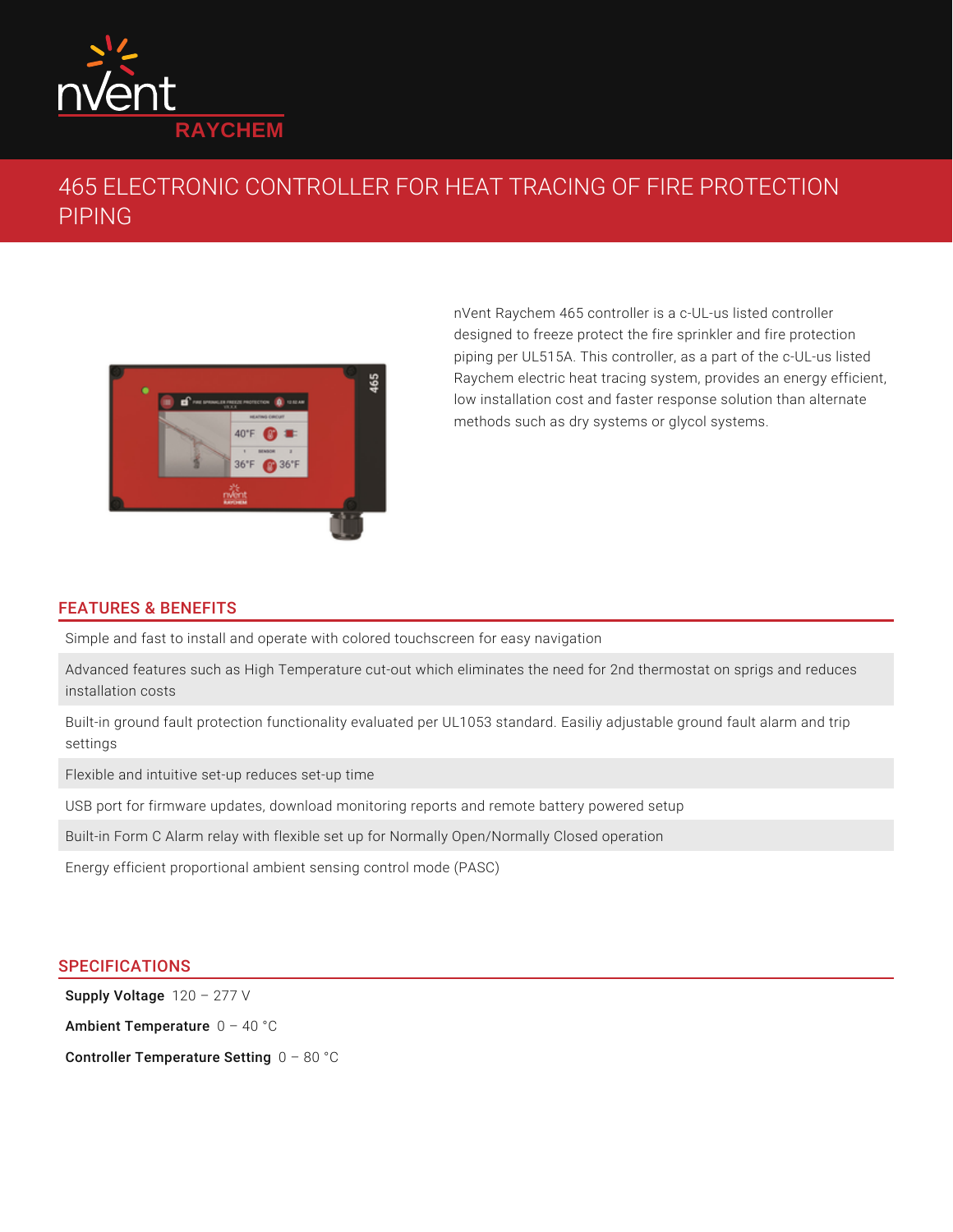

## 465 ELECTRONIC CONTROLLER FOR HEAT TRACING OF FIRE PROTECTION PIPING



nVent Raychem 465 controller is a c-UL-us listed controller designed to freeze protect the fire sprinkler and fire protection piping per UL515A. This controller, as a part of the c-UL-us listed Raychem electric heat tracing system, provides an energy efficient, low installation cost and faster response solution than alternate methods such as dry systems or glycol systems.

## FEATURES & BENEFITS

Simple and fast to install and operate with colored touchscreen for easy navigation

Advanced features such as High Temperature cut-out which eliminates the need for 2nd thermostat on sprigs and reduces installation costs

Built-in ground fault protection functionality evaluated per UL1053 standard. Easiliy adjustable ground fault alarm and trip settings

Flexible and intuitive set-up reduces set-up time

USB port for firmware updates, download monitoring reports and remote battery powered setup

Built-in Form C Alarm relay with flexible set up for Normally Open/Normally Closed operation

Energy efficient proportional ambient sensing control mode (PASC)

## **SPECIFICATIONS**

Supply Voltage  $120 - 277$  V

**Ambient Temperature**  $0$  – 40  $^{\circ}$ C

Controller Temperature Setting  $0$  –  $80\text{ }^{\circ}\mathrm{C}$